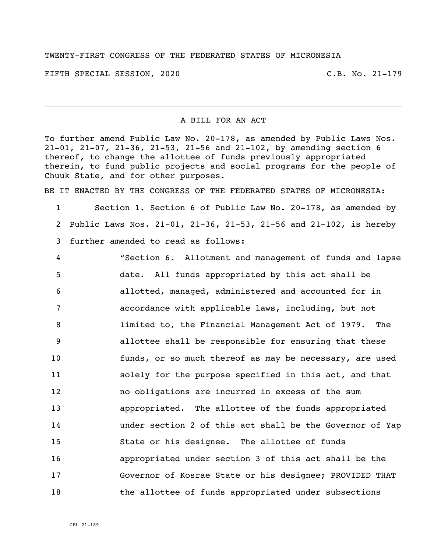## TWENTY-FIRST CONGRESS OF THE FEDERATED STATES OF MICRONESIA

FIFTH SPECIAL SESSION, 2020 C.B. No. 21-179

## A BILL FOR AN ACT

To further amend Public Law No. 20-178, as amended by Public Laws Nos. 21-01, 21-07, 21-36, 21-53, 21-56 and 21-102, by amending section 6 thereof, to change the allottee of funds previously appropriated therein, to fund public projects and social programs for the people of Chuuk State, and for other purposes.

BE IT ENACTED BY THE CONGRESS OF THE FEDERATED STATES OF MICRONESIA:

 Section 1. Section 6 of Public Law No. 20-178, as amended by Public Laws Nos. 21-01, 21-36, 21-53, 21-56 and 21-102, is hereby further amended to read as follows:

 "Section 6. Allotment and management of funds and lapse date. All funds appropriated by this act shall be allotted, managed, administered and accounted for in accordance with applicable laws, including, but not limited to, the Financial Management Act of 1979. The allottee shall be responsible for ensuring that these funds, or so much thereof as may be necessary, are used solely for the purpose specified in this act, and that no obligations are incurred in excess of the sum appropriated. The allottee of the funds appropriated under section 2 of this act shall be the Governor of Yap State or his designee. The allottee of funds appropriated under section 3 of this act shall be the Governor of Kosrae State or his designee; PROVIDED THAT 18 the allottee of funds appropriated under subsections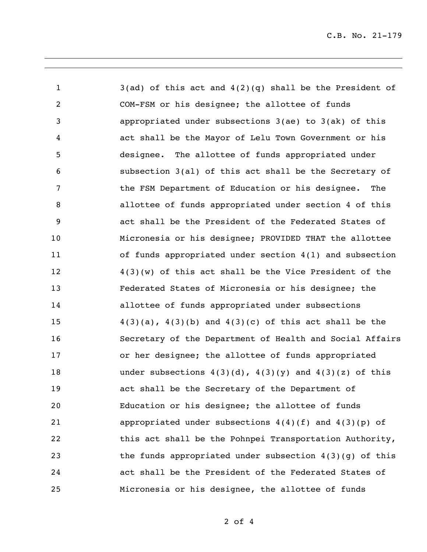3(ad) of this act and 4(2)(q) shall be the President of COM-FSM or his designee; the allottee of funds appropriated under subsections 3(ae) to 3(ak) of this act shall be the Mayor of Lelu Town Government or his designee. The allottee of funds appropriated under subsection 3(al) of this act shall be the Secretary of the FSM Department of Education or his designee. The allottee of funds appropriated under section 4 of this act shall be the President of the Federated States of Micronesia or his designee; PROVIDED THAT the allottee of funds appropriated under section 4(1) and subsection 4(3)(w) of this act shall be the Vice President of the Federated States of Micronesia or his designee; the allottee of funds appropriated under subsections  $4(3)(a)$ ,  $4(3)(b)$  and  $4(3)(c)$  of this act shall be the Secretary of the Department of Health and Social Affairs or her designee; the allottee of funds appropriated 18 under subsections  $4(3)(d)$ ,  $4(3)(y)$  and  $4(3)(z)$  of this act shall be the Secretary of the Department of Education or his designee; the allottee of funds appropriated under subsections 4(4)(f) and 4(3)(p) of 22 this act shall be the Pohnpei Transportation Authority, the funds appropriated under subsection 4(3)(g) of this act shall be the President of the Federated States of Micronesia or his designee, the allottee of funds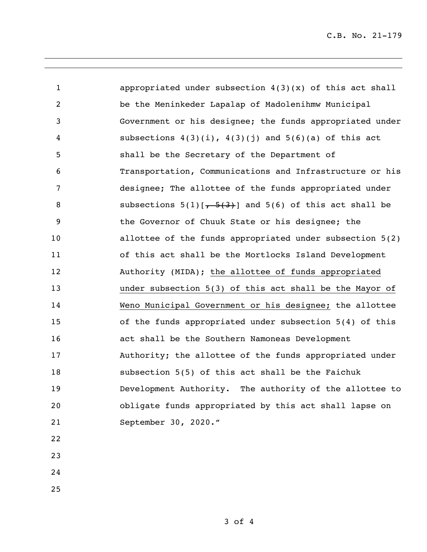| $\mathbf{1}$    | appropriated under subsection $4(3)(x)$ of this act shall   |
|-----------------|-------------------------------------------------------------|
| $\overline{2}$  | be the Meninkeder Lapalap of Madolenihmw Municipal          |
| 3               | Government or his designee; the funds appropriated under    |
| 4               | subsections $4(3)(i)$ , $4(3)(j)$ and $5(6)(a)$ of this act |
| 5               | shall be the Secretary of the Department of                 |
| 6               | Transportation, Communications and Infrastructure or his    |
| $7\phantom{.0}$ | designee; The allottee of the funds appropriated under      |
| 8               | subsections $5(1)[ -5(3) ]$ and $5(6)$ of this act shall be |
| 9               | the Governor of Chuuk State or his designee; the            |
| 10              | allottee of the funds appropriated under subsection 5(2)    |
| 11              | of this act shall be the Mortlocks Island Development       |
| 12              | Authority (MIDA); the allottee of funds appropriated        |
| 13              | under subsection 5(3) of this act shall be the Mayor of     |
| 14              | Weno Municipal Government or his designee; the allottee     |
| 15              | of the funds appropriated under subsection 5(4) of this     |
| 16              | act shall be the Southern Namoneas Development              |
| 17              | Authority; the allottee of the funds appropriated under     |
| 18              | subsection 5(5) of this act shall be the Faichuk            |
| 19              | Development Authority. The authority of the allottee to     |
| 20              | obligate funds appropriated by this act shall lapse on      |
| 21              | September 30, 2020."                                        |
| 22              |                                                             |
| 23              |                                                             |
| 24              |                                                             |